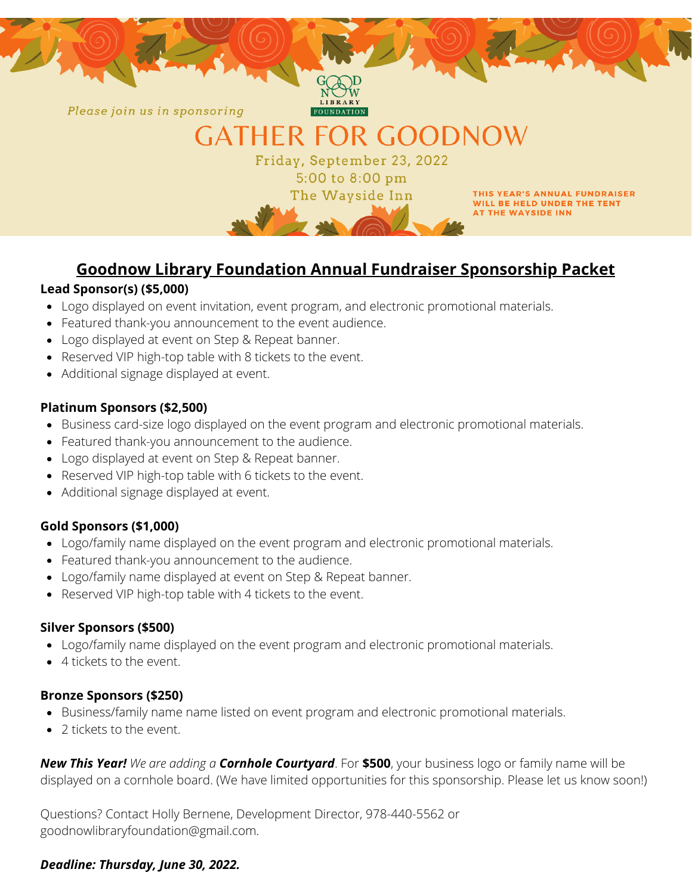

## **Goodnow Library Foundation Annual Fundraiser Sponsorship Packet**

#### **Lead Sponsor(s) (\$5,000)**

- Logo displayed on event invitation, event program, and electronic promotional materials.
- Featured thank-you announcement to the event audience.
- Logo displayed at event on Step & Repeat banner.
- Reserved VIP high-top table with 8 tickets to the event.
- Additional signage displayed at event.

#### **Platinum Sponsors (\$2,500)**

- Business card-size logo displayed on the event program and electronic promotional materials.
- Featured thank-you announcement to the audience.
- Logo displayed at event on Step & Repeat banner.
- Reserved VIP high-top table with 6 tickets to the event.
- Additional signage displayed at event.

#### **Gold Sponsors (\$1,000)**

- Logo/family name displayed on the event program and electronic promotional materials.
- Featured thank-you announcement to the audience.
- Logo/family name displayed at event on Step & Repeat banner.
- Reserved VIP high-top table with 4 tickets to the event.

#### **Silver Sponsors (\$500)**

- Logo/family name displayed on the event program and electronic promotional materials.
- 4 tickets to the event.

#### **Bronze Sponsors (\$250)**

- Business/family name name listed on event program and electronic promotional materials.
- 2 tickets to the event.

*New This Year! We are adding a Cornhole Courtyard*. For **\$500**, your business logo or family name will be displayed on a cornhole board. (We have limited opportunities for this sponsorship. Please let us know soon!)

Questions? Contact Holly Bernene, Development Director, 978-440-5562 or goodnowlibraryfoundation@gmail.com.

#### *Deadline: Thursday, June 30, 2022.*